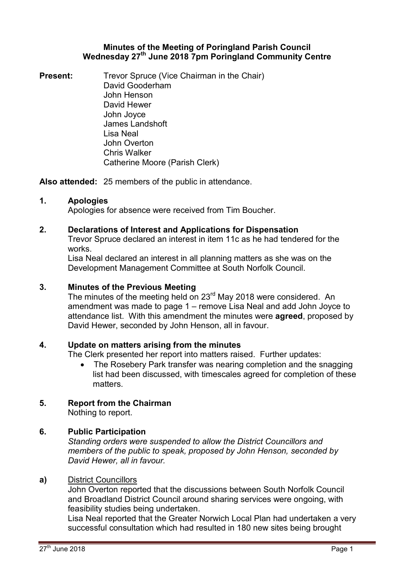# **Minutes of the Meeting of Poringland Parish Council Wednesday 27th June 2018 7pm Poringland Community Centre**

**Present:** Trevor Spruce (Vice Chairman in the Chair) David Gooderham John Henson David Hewer John Joyce James Landshoft Lisa Neal John Overton Chris Walker Catherine Moore (Parish Clerk)

**Also attended:** 25 members of the public in attendance.

# **1. Apologies**

Apologies for absence were received from Tim Boucher.

# **2. Declarations of Interest and Applications for Dispensation**

Trevor Spruce declared an interest in item 11c as he had tendered for the works.

Lisa Neal declared an interest in all planning matters as she was on the Development Management Committee at South Norfolk Council.

# **3. Minutes of the Previous Meeting**

The minutes of the meeting held on 23<sup>rd</sup> May 2018 were considered. An amendment was made to page 1 – remove Lisa Neal and add John Joyce to attendance list. With this amendment the minutes were **agreed**, proposed by David Hewer, seconded by John Henson, all in favour.

# **4. Update on matters arising from the minutes**

The Clerk presented her report into matters raised. Further updates:

 The Rosebery Park transfer was nearing completion and the snagging list had been discussed, with timescales agreed for completion of these matters.

# **5. Report from the Chairman**

Nothing to report.

# **6. Public Participation**

*Standing orders were suspended to allow the District Councillors and members of the public to speak, proposed by John Henson, seconded by David Hewer, all in favour.* 

# **a)** District Councillors

John Overton reported that the discussions between South Norfolk Council and Broadland District Council around sharing services were ongoing, with feasibility studies being undertaken.

Lisa Neal reported that the Greater Norwich Local Plan had undertaken a very successful consultation which had resulted in 180 new sites being brought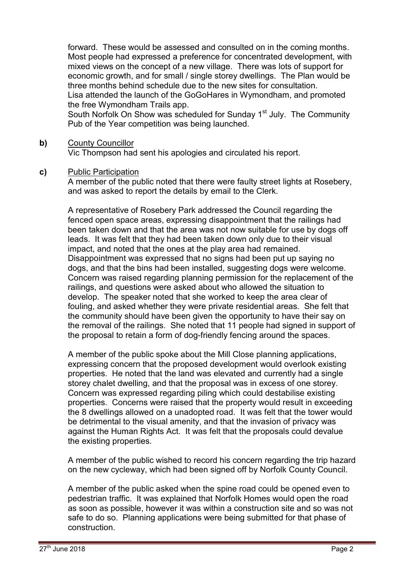forward. These would be assessed and consulted on in the coming months. Most people had expressed a preference for concentrated development, with mixed views on the concept of a new village. There was lots of support for economic growth, and for small / single storey dwellings. The Plan would be three months behind schedule due to the new sites for consultation. Lisa attended the launch of the GoGoHares in Wymondham, and promoted the free Wymondham Trails app.

South Norfolk On Show was scheduled for Sunday 1<sup>st</sup> July. The Community Pub of the Year competition was being launched.

# **b)** County Councillor

Vic Thompson had sent his apologies and circulated his report.

### **c)** Public Participation

A member of the public noted that there were faulty street lights at Rosebery, and was asked to report the details by email to the Clerk.

A representative of Rosebery Park addressed the Council regarding the fenced open space areas, expressing disappointment that the railings had been taken down and that the area was not now suitable for use by dogs off leads. It was felt that they had been taken down only due to their visual impact, and noted that the ones at the play area had remained. Disappointment was expressed that no signs had been put up saying no dogs, and that the bins had been installed, suggesting dogs were welcome. Concern was raised regarding planning permission for the replacement of the railings, and questions were asked about who allowed the situation to develop. The speaker noted that she worked to keep the area clear of fouling, and asked whether they were private residential areas. She felt that the community should have been given the opportunity to have their say on the removal of the railings. She noted that 11 people had signed in support of the proposal to retain a form of dog-friendly fencing around the spaces.

A member of the public spoke about the Mill Close planning applications, expressing concern that the proposed development would overlook existing properties. He noted that the land was elevated and currently had a single storey chalet dwelling, and that the proposal was in excess of one storey. Concern was expressed regarding piling which could destabilise existing properties. Concerns were raised that the property would result in exceeding the 8 dwellings allowed on a unadopted road. It was felt that the tower would be detrimental to the visual amenity, and that the invasion of privacy was against the Human Rights Act. It was felt that the proposals could devalue the existing properties.

A member of the public wished to record his concern regarding the trip hazard on the new cycleway, which had been signed off by Norfolk County Council.

A member of the public asked when the spine road could be opened even to pedestrian traffic. It was explained that Norfolk Homes would open the road as soon as possible, however it was within a construction site and so was not safe to do so. Planning applications were being submitted for that phase of construction.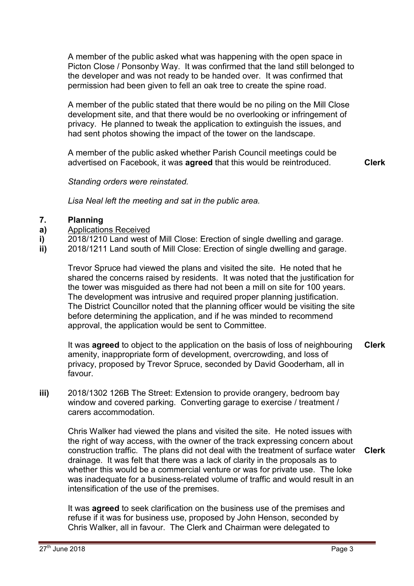A member of the public asked what was happening with the open space in Picton Close / Ponsonby Way. It was confirmed that the land still belonged to the developer and was not ready to be handed over. It was confirmed that permission had been given to fell an oak tree to create the spine road.

A member of the public stated that there would be no piling on the Mill Close development site, and that there would be no overlooking or infringement of privacy. He planned to tweak the application to extinguish the issues, and had sent photos showing the impact of the tower on the landscape.

A member of the public asked whether Parish Council meetings could be advertised on Facebook, it was **agreed** that this would be reintroduced. **Clerk**

 *Standing orders were reinstated.* 

*Lisa Neal left the meeting and sat in the public area.* 

#### **7. Planning**

- **a)**  Applications Received
- **i)**  2018/1210 Land west of Mill Close: Erection of single dwelling and garage.
- **ii)**  2018/1211 Land south of Mill Close: Erection of single dwelling and garage.

Trevor Spruce had viewed the plans and visited the site. He noted that he shared the concerns raised by residents. It was noted that the justification for the tower was misguided as there had not been a mill on site for 100 years. The development was intrusive and required proper planning justification. The District Councillor noted that the planning officer would be visiting the site before determining the application, and if he was minded to recommend approval, the application would be sent to Committee.

It was **agreed** to object to the application on the basis of loss of neighbouring amenity, inappropriate form of development, overcrowding, and loss of privacy, proposed by Trevor Spruce, seconded by David Gooderham, all in favour. **Clerk**

**iii)** 2018/1302 126B The Street: Extension to provide orangery, bedroom bay window and covered parking. Converting garage to exercise / treatment / carers accommodation.

> Chris Walker had viewed the plans and visited the site. He noted issues with the right of way access, with the owner of the track expressing concern about construction traffic. The plans did not deal with the treatment of surface water drainage. It was felt that there was a lack of clarity in the proposals as to whether this would be a commercial venture or was for private use. The loke was inadequate for a business-related volume of traffic and would result in an intensification of the use of the premises. **Clerk**

It was **agreed** to seek clarification on the business use of the premises and refuse if it was for business use, proposed by John Henson, seconded by Chris Walker, all in favour. The Clerk and Chairman were delegated to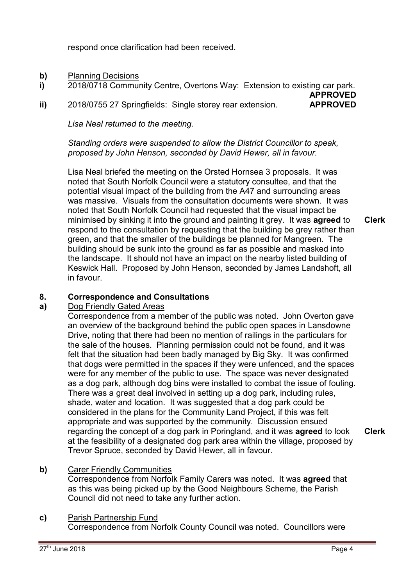respond once clarification had been received.

- **b)** Planning Decisions
- **i)**  2018/0718 Community Centre, Overtons Way: Extension to existing car park.
- **ii)**  2018/0755 27 Springfields: Single storey rear extension. **APPROVED**

*Lisa Neal returned to the meeting.* 

*Standing orders were suspended to allow the District Councillor to speak, proposed by John Henson, seconded by David Hewer, all in favour.* 

Lisa Neal briefed the meeting on the Orsted Hornsea 3 proposals. It was noted that South Norfolk Council were a statutory consultee, and that the potential visual impact of the building from the A47 and surrounding areas was massive. Visuals from the consultation documents were shown. It was noted that South Norfolk Council had requested that the visual impact be minimised by sinking it into the ground and painting it grey. It was **agreed** to respond to the consultation by requesting that the building be grey rather than green, and that the smaller of the buildings be planned for Mangreen. The building should be sunk into the ground as far as possible and masked into the landscape. It should not have an impact on the nearby listed building of Keswick Hall. Proposed by John Henson, seconded by James Landshoft, all in favour.

### **8. Correspondence and Consultations**

### **a)**  Dog Friendly Gated Areas

Correspondence from a member of the public was noted. John Overton gave an overview of the background behind the public open spaces in Lansdowne Drive, noting that there had been no mention of railings in the particulars for the sale of the houses. Planning permission could not be found, and it was felt that the situation had been badly managed by Big Sky. It was confirmed that dogs were permitted in the spaces if they were unfenced, and the spaces were for any member of the public to use. The space was never designated as a dog park, although dog bins were installed to combat the issue of fouling. There was a great deal involved in setting up a dog park, including rules, shade, water and location. It was suggested that a dog park could be considered in the plans for the Community Land Project, if this was felt appropriate and was supported by the community. Discussion ensued regarding the concept of a dog park in Poringland, and it was **agreed** to look at the feasibility of a designated dog park area within the village, proposed by Trevor Spruce, seconded by David Hewer, all in favour.

**Clerk**

# **b)** Carer Friendly Communities

Correspondence from Norfolk Family Carers was noted. It was **agreed** that as this was being picked up by the Good Neighbours Scheme, the Parish Council did not need to take any further action.

# **c)** Parish Partnership Fund

Correspondence from Norfolk County Council was noted. Councillors were

**Clerk**

**APPROVED**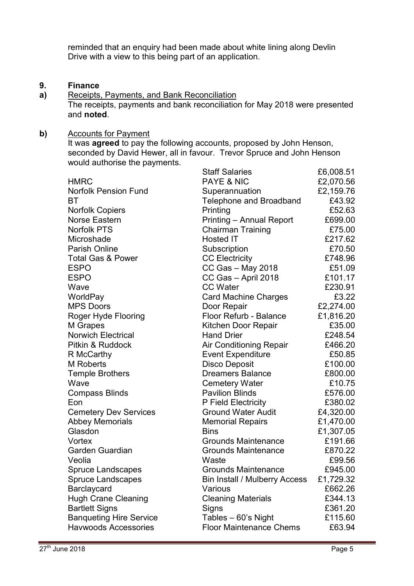reminded that an enquiry had been made about white lining along Devlin Drive with a view to this being part of an application.

#### **9. Finance**

**a)**  Receipts, Payments, and Bank Reconciliation The receipts, payments and bank reconciliation for May 2018 were presented and **noted**.

# **b)** Accounts for Payment

It was **agreed** to pay the following accounts, proposed by John Henson, seconded by David Hewer, all in favour. Trevor Spruce and John Henson would authorise the payments. Staff Salaries £6,008.51

|                                | Staff Salaries                  | LO,UU8.5T |
|--------------------------------|---------------------------------|-----------|
| <b>HMRC</b>                    | <b>PAYE &amp; NIC</b>           | £2,070.56 |
| <b>Norfolk Pension Fund</b>    | Superannuation                  | £2,159.76 |
| BT                             | <b>Telephone and Broadband</b>  | £43.92    |
| <b>Norfolk Copiers</b>         | Printing                        | £52.63    |
| Norse Eastern                  | <b>Printing - Annual Report</b> | £699.00   |
| <b>Norfolk PTS</b>             | <b>Chairman Training</b>        | £75.00    |
| Microshade                     | Hosted IT                       | £217.62   |
| Parish Online                  | Subscription                    | £70.50    |
| <b>Total Gas &amp; Power</b>   | <b>CC Electricity</b>           | £748.96   |
| <b>ESPO</b>                    | CC Gas - May 2018               | £51.09    |
| <b>ESPO</b>                    | CC Gas - April 2018             | £101.17   |
| Wave                           | <b>CC Water</b>                 | £230.91   |
| WorldPay                       | <b>Card Machine Charges</b>     | £3.22     |
| <b>MPS Doors</b>               | Door Repair                     | £2,274.00 |
| Roger Hyde Flooring            | Floor Refurb - Balance          | £1,816.20 |
| M Grapes                       | Kitchen Door Repair             | £35.00    |
| <b>Norwich Electrical</b>      | <b>Hand Drier</b>               | £248.54   |
| Pitkin & Ruddock               | <b>Air Conditioning Repair</b>  | £466.20   |
| R McCarthy                     | <b>Event Expenditure</b>        | £50.85    |
| <b>M</b> Roberts               | <b>Disco Deposit</b>            | £100.00   |
| <b>Temple Brothers</b>         | <b>Dreamers Balance</b>         | £800.00   |
| Wave                           | <b>Cemetery Water</b>           | £10.75    |
| <b>Compass Blinds</b>          | <b>Pavilion Blinds</b>          | £576.00   |
| Eon                            | P Field Electricity             | £380.02   |
| <b>Cemetery Dev Services</b>   | <b>Ground Water Audit</b>       | £4,320.00 |
| <b>Abbey Memorials</b>         | <b>Memorial Repairs</b>         | £1,470.00 |
| Glasdon                        | <b>Bins</b>                     | £1,307.05 |
| Vortex                         | <b>Grounds Maintenance</b>      | £191.66   |
| Garden Guardian                | <b>Grounds Maintenance</b>      | £870.22   |
| Veolia                         | Waste                           | £99.56    |
| <b>Spruce Landscapes</b>       | <b>Grounds Maintenance</b>      | £945.00   |
| <b>Spruce Landscapes</b>       | Bin Install / Mulberry Access   | £1,729.32 |
| Barclaycard                    | Various                         | £662.26   |
| <b>Hugh Crane Cleaning</b>     | <b>Cleaning Materials</b>       | £344.13   |
| <b>Bartlett Signs</b>          | <b>Signs</b>                    | £361.20   |
| <b>Banqueting Hire Service</b> | Tables - 60's Night             | £115.60   |
| <b>Havwoods Accessories</b>    | <b>Floor Maintenance Chems</b>  | £63.94    |